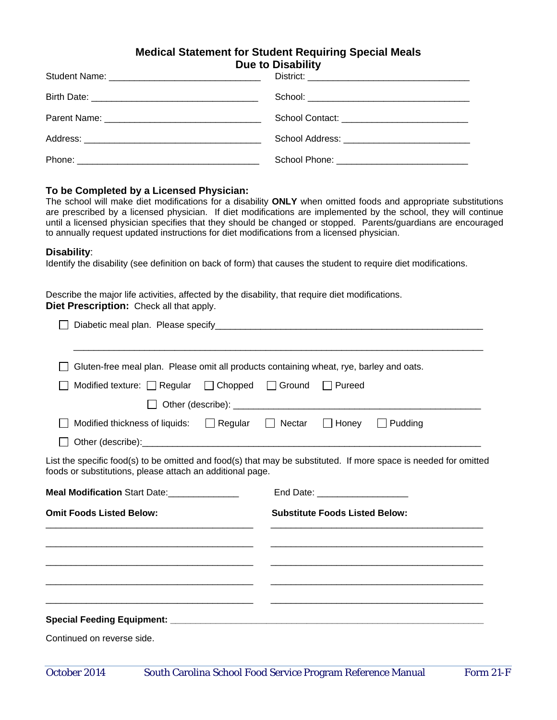## **Medical Statement for Student Requiring Special Meals Due to Disability**

| School Contact: _______________________________ |
|-------------------------------------------------|
|                                                 |
|                                                 |

## **To be Completed by a Licensed Physician:**

The school will make diet modifications for a disability **ONLY** when omitted foods and appropriate substitutions are prescribed by a licensed physician. If diet modifications are implemented by the school, they will continue until a licensed physician specifies that they should be changed or stopped. Parents/guardians are encouraged to annually request updated instructions for diet modifications from a licensed physician.

## **Disability**:

Identify the disability (see definition on back of form) that causes the student to require diet modifications.

Describe the major life activities, affected by the disability, that require diet modifications. **Diet Prescription:** Check all that apply.

| Modified texture: $\Box$ Regular                                                 | □ Chopped □ Ground<br>Pureed                                                                                     |
|----------------------------------------------------------------------------------|------------------------------------------------------------------------------------------------------------------|
|                                                                                  |                                                                                                                  |
|                                                                                  | Modified thickness of liquids: $\Box$ Regular $\Box$ Nectar $\Box$ Honey $\Box$ Pudding                          |
|                                                                                  |                                                                                                                  |
| foods or substitutions, please attach an additional page.                        | List the specific food(s) to be omitted and food(s) that may be substituted. If more space is needed for omitted |
|                                                                                  |                                                                                                                  |
|                                                                                  | End Date: ______________________                                                                                 |
| Meal Modification Start Date: _______________<br><b>Omit Foods Listed Below:</b> | <b>Substitute Foods Listed Below:</b>                                                                            |
|                                                                                  |                                                                                                                  |
|                                                                                  |                                                                                                                  |
|                                                                                  |                                                                                                                  |
|                                                                                  |                                                                                                                  |

Continued on reverse side.